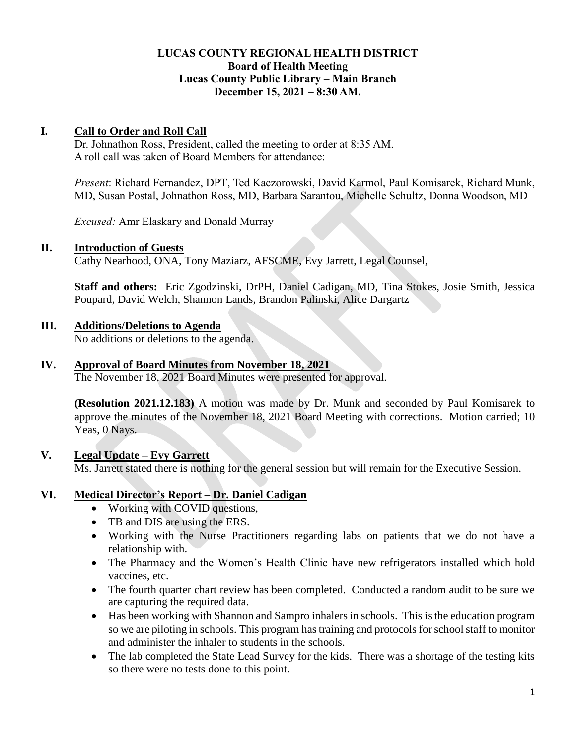## **LUCAS COUNTY REGIONAL HEALTH DISTRICT Board of Health Meeting Lucas County Public Library – Main Branch December 15, 2021 – 8:30 AM.**

### **I. Call to Order and Roll Call**

Dr. Johnathon Ross, President, called the meeting to order at 8:35 AM. A roll call was taken of Board Members for attendance:

*Present*: Richard Fernandez, DPT, Ted Kaczorowski, David Karmol, Paul Komisarek, Richard Munk, MD, Susan Postal, Johnathon Ross, MD, Barbara Sarantou, Michelle Schultz, Donna Woodson, MD

*Excused:* Amr Elaskary and Donald Murray

#### **II. Introduction of Guests**

Cathy Nearhood, ONA, Tony Maziarz, AFSCME, Evy Jarrett, Legal Counsel,

**Staff and others:** Eric Zgodzinski, DrPH, Daniel Cadigan, MD, Tina Stokes, Josie Smith, Jessica Poupard, David Welch, Shannon Lands, Brandon Palinski, Alice Dargartz

## **III. Additions/Deletions to Agenda**

No additions or deletions to the agenda.

## **IV. Approval of Board Minutes from November 18, 2021**

The November 18, 2021 Board Minutes were presented for approval.

**(Resolution 2021.12.183)** A motion was made by Dr. Munk and seconded by Paul Komisarek to approve the minutes of the November 18, 2021 Board Meeting with corrections. Motion carried; 10 Yeas, 0 Nays.

## **V. Legal Update – Evy Garrett**

Ms. Jarrett stated there is nothing for the general session but will remain for the Executive Session.

## **VI. Medical Director's Report – Dr. Daniel Cadigan**

- Working with COVID questions,
- TB and DIS are using the ERS.
- Working with the Nurse Practitioners regarding labs on patients that we do not have a relationship with.
- The Pharmacy and the Women's Health Clinic have new refrigerators installed which hold vaccines, etc.
- The fourth quarter chart review has been completed. Conducted a random audit to be sure we are capturing the required data.
- Has been working with Shannon and Sampro inhalers in schools. This is the education program so we are piloting in schools. This program has training and protocols for school staff to monitor and administer the inhaler to students in the schools.
- The lab completed the State Lead Survey for the kids. There was a shortage of the testing kits so there were no tests done to this point.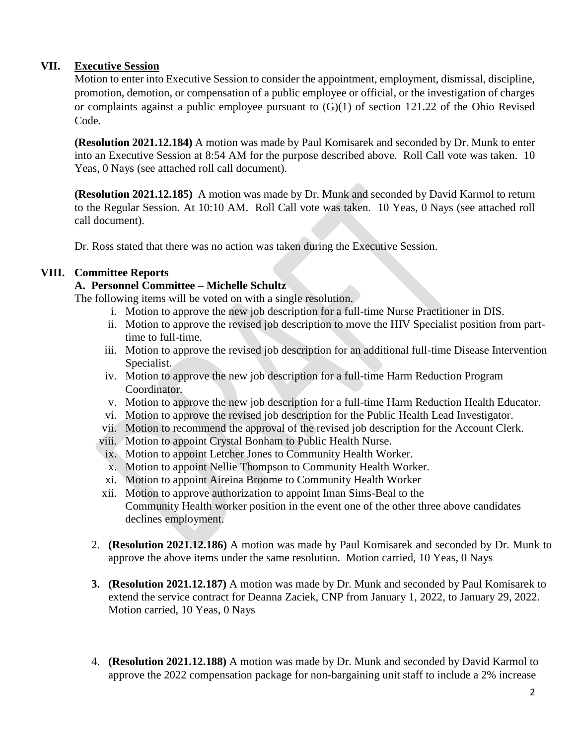# **VII. Executive Session**

Motion to enter into Executive Session to consider the appointment, employment, dismissal, discipline, promotion, demotion, or compensation of a public employee or official, or the investigation of charges or complaints against a public employee pursuant to (G)(1) of section 121.22 of the Ohio Revised Code.

**(Resolution 2021.12.184)** A motion was made by Paul Komisarek and seconded by Dr. Munk to enter into an Executive Session at 8:54 AM for the purpose described above. Roll Call vote was taken. 10 Yeas, 0 Nays (see attached roll call document).

**(Resolution 2021.12.185)** A motion was made by Dr. Munk and seconded by David Karmol to return to the Regular Session. At 10:10 AM. Roll Call vote was taken. 10 Yeas, 0 Nays (see attached roll call document).

Dr. Ross stated that there was no action was taken during the Executive Session.

## **VIII. Committee Reports**

# **A. Personnel Committee – Michelle Schultz**

The following items will be voted on with a single resolution.

- i. Motion to approve the new job description for a full-time Nurse Practitioner in DIS.
- ii. Motion to approve the revised job description to move the HIV Specialist position from parttime to full-time.
- iii. Motion to approve the revised job description for an additional full-time Disease Intervention Specialist.
- iv. Motion to approve the new job description for a full-time Harm Reduction Program Coordinator.
- v. Motion to approve the new job description for a full-time Harm Reduction Health Educator.
- vi. Motion to approve the revised job description for the Public Health Lead Investigator.
- vii. Motion to recommend the approval of the revised job description for the Account Clerk.
- viii. Motion to appoint Crystal Bonham to Public Health Nurse.
- ix. Motion to appoint Letcher Jones to Community Health Worker.
- x. Motion to appoint Nellie Thompson to Community Health Worker.
- xi. Motion to appoint Aireina Broome to Community Health Worker
- xii. Motion to approve authorization to appoint Iman Sims-Beal to the Community Health worker position in the event one of the other three above candidates declines employment.
- 2. **(Resolution 2021.12.186)** A motion was made by Paul Komisarek and seconded by Dr. Munk to approve the above items under the same resolution. Motion carried, 10 Yeas, 0 Nays
- **3. (Resolution 2021.12.187)** A motion was made by Dr. Munk and seconded by Paul Komisarek to extend the service contract for Deanna Zaciek, CNP from January 1, 2022, to January 29, 2022. Motion carried, 10 Yeas, 0 Nays
- 4. **(Resolution 2021.12.188)** A motion was made by Dr. Munk and seconded by David Karmol to approve the 2022 compensation package for non-bargaining unit staff to include a 2% increase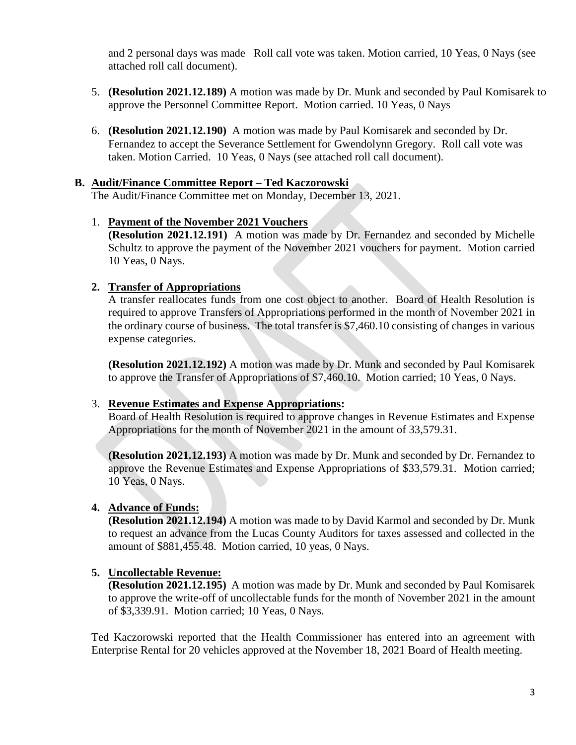and 2 personal days was made Roll call vote was taken. Motion carried, 10 Yeas, 0 Nays (see attached roll call document).

- 5. **(Resolution 2021.12.189)** A motion was made by Dr. Munk and seconded by Paul Komisarek to approve the Personnel Committee Report. Motion carried. 10 Yeas, 0 Nays
- 6. **(Resolution 2021.12.190)** A motion was made by Paul Komisarek and seconded by Dr. Fernandez to accept the Severance Settlement for Gwendolynn Gregory. Roll call vote was taken. Motion Carried. 10 Yeas, 0 Nays (see attached roll call document).

#### **B. Audit/Finance Committee Report – Ted Kaczorowski**

The Audit/Finance Committee met on Monday, December 13, 2021.

#### 1. **Payment of the November 2021 Vouchers**

**(Resolution 2021.12.191)** A motion was made by Dr. Fernandez and seconded by Michelle Schultz to approve the payment of the November 2021 vouchers for payment. Motion carried 10 Yeas, 0 Nays.

#### **2. Transfer of Appropriations**

A transfer reallocates funds from one cost object to another. Board of Health Resolution is required to approve Transfers of Appropriations performed in the month of November 2021 in the ordinary course of business. The total transfer is \$7,460.10 consisting of changes in various expense categories.

**(Resolution 2021.12.192)** A motion was made by Dr. Munk and seconded by Paul Komisarek to approve the Transfer of Appropriations of \$7,460.10. Motion carried; 10 Yeas, 0 Nays.

#### 3. **Revenue Estimates and Expense Appropriations:**

Board of Health Resolution is required to approve changes in Revenue Estimates and Expense Appropriations for the month of November 2021 in the amount of 33,579.31.

**(Resolution 2021.12.193)** A motion was made by Dr. Munk and seconded by Dr. Fernandez to approve the Revenue Estimates and Expense Appropriations of \$33,579.31. Motion carried; 10 Yeas, 0 Nays.

## **4. Advance of Funds:**

**(Resolution 2021.12.194)** A motion was made to by David Karmol and seconded by Dr. Munk to request an advance from the Lucas County Auditors for taxes assessed and collected in the amount of \$881,455.48. Motion carried, 10 yeas, 0 Nays.

## **5. Uncollectable Revenue:**

**(Resolution 2021.12.195)** A motion was made by Dr. Munk and seconded by Paul Komisarek to approve the write-off of uncollectable funds for the month of November 2021 in the amount of \$3,339.91. Motion carried; 10 Yeas, 0 Nays.

Ted Kaczorowski reported that the Health Commissioner has entered into an agreement with Enterprise Rental for 20 vehicles approved at the November 18, 2021 Board of Health meeting.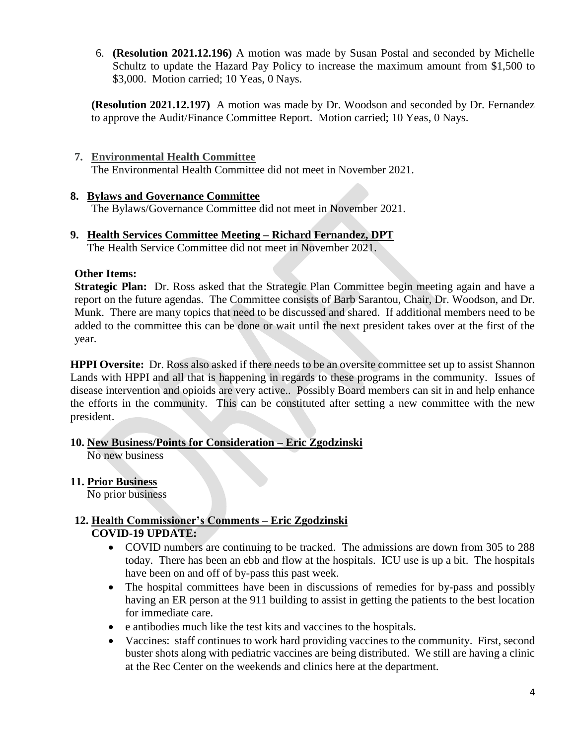6. **(Resolution 2021.12.196)** A motion was made by Susan Postal and seconded by Michelle Schultz to update the Hazard Pay Policy to increase the maximum amount from \$1,500 to \$3,000. Motion carried; 10 Yeas, 0 Nays.

**(Resolution 2021.12.197)** A motion was made by Dr. Woodson and seconded by Dr. Fernandez to approve the Audit/Finance Committee Report. Motion carried; 10 Yeas, 0 Nays.

- **7. Environmental Health Committee**  The Environmental Health Committee did not meet in November 2021.
- **8. Bylaws and Governance Committee** The Bylaws/Governance Committee did not meet in November 2021.
- **9. Health Services Committee Meeting – Richard Fernandez, DPT** The Health Service Committee did not meet in November 2021.

## **Other Items:**

**Strategic Plan:** Dr. Ross asked that the Strategic Plan Committee begin meeting again and have a report on the future agendas. The Committee consists of Barb Sarantou, Chair, Dr. Woodson, and Dr. Munk. There are many topics that need to be discussed and shared. If additional members need to be added to the committee this can be done or wait until the next president takes over at the first of the year.

**HPPI Oversite:** Dr. Ross also asked if there needs to be an oversite committee set up to assist Shannon Lands with HPPI and all that is happening in regards to these programs in the community. Issues of disease intervention and opioids are very active.. Possibly Board members can sit in and help enhance the efforts in the community. This can be constituted after setting a new committee with the new president.

## **10. New Business/Points for Consideration – Eric Zgodzinski**

No new business

# **11. Prior Business**

No prior business

# **12. Health Commissioner's Comments – Eric Zgodzinski COVID-19 UPDATE:**

- COVID numbers are continuing to be tracked. The admissions are down from 305 to 288 today. There has been an ebb and flow at the hospitals. ICU use is up a bit. The hospitals have been on and off of by-pass this past week.
- The hospital committees have been in discussions of remedies for by-pass and possibly having an ER person at the 911 building to assist in getting the patients to the best location for immediate care.
- e antibodies much like the test kits and vaccines to the hospitals.
- Vaccines: staff continues to work hard providing vaccines to the community. First, second buster shots along with pediatric vaccines are being distributed. We still are having a clinic at the Rec Center on the weekends and clinics here at the department.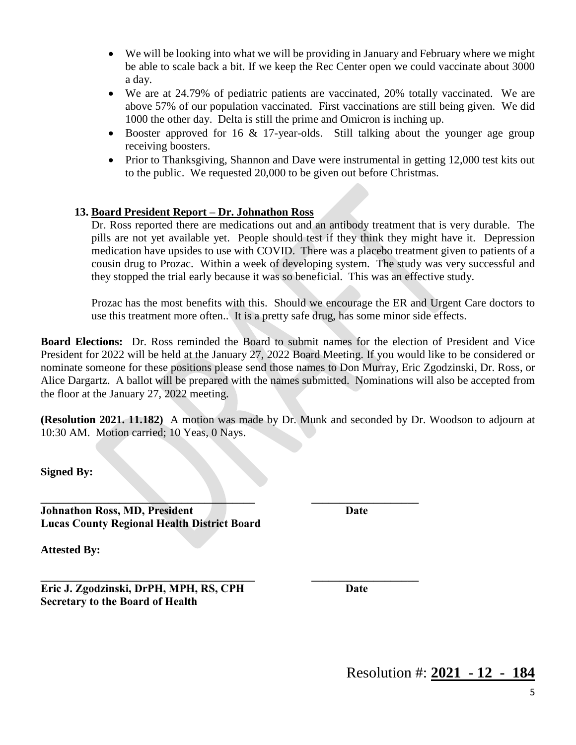- We will be looking into what we will be providing in January and February where we might be able to scale back a bit. If we keep the Rec Center open we could vaccinate about 3000 a day.
- We are at 24.79% of pediatric patients are vaccinated, 20% totally vaccinated. We are above 57% of our population vaccinated. First vaccinations are still being given. We did 1000 the other day. Delta is still the prime and Omicron is inching up.
- Booster approved for 16  $\&$  17-year-olds. Still talking about the younger age group receiving boosters.
- Prior to Thanksgiving, Shannon and Dave were instrumental in getting 12,000 test kits out to the public. We requested 20,000 to be given out before Christmas.

# **13. Board President Report – Dr. Johnathon Ross**

Dr. Ross reported there are medications out and an antibody treatment that is very durable. The pills are not yet available yet. People should test if they think they might have it. Depression medication have upsides to use with COVID. There was a placebo treatment given to patients of a cousin drug to Prozac. Within a week of developing system. The study was very successful and they stopped the trial early because it was so beneficial. This was an effective study.

Prozac has the most benefits with this. Should we encourage the ER and Urgent Care doctors to use this treatment more often.. It is a pretty safe drug, has some minor side effects.

**Board Elections:** Dr. Ross reminded the Board to submit names for the election of President and Vice President for 2022 will be held at the January 27, 2022 Board Meeting. If you would like to be considered or nominate someone for these positions please send those names to Don Murray, Eric Zgodzinski, Dr. Ross, or Alice Dargartz. A ballot will be prepared with the names submitted. Nominations will also be accepted from the floor at the January 27, 2022 meeting.

**(Resolution 2021. 11.182)** A motion was made by Dr. Munk and seconded by Dr. Woodson to adjourn at 10:30 AM. Motion carried; 10 Yeas, 0 Nays.

**\_\_\_\_\_\_\_\_\_\_\_\_\_\_\_\_\_\_\_\_\_\_\_\_\_\_\_\_\_\_\_\_\_\_\_\_\_\_ \_\_\_\_\_\_\_\_\_\_\_\_\_\_\_\_\_\_\_**

**\_\_\_\_\_\_\_\_\_\_\_\_\_\_\_\_\_\_\_\_\_\_\_\_\_\_\_\_\_\_\_\_\_\_\_\_\_\_ \_\_\_\_\_\_\_\_\_\_\_\_\_\_\_\_\_\_\_**

**Signed By:**

**Johnathon Ross, MD, President Date Lucas County Regional Health District Board**

**Attested By:**

**Eric J. Zgodzinski, DrPH, MPH, RS, CPH Date Secretary to the Board of Health**

Resolution #: **2021 - 12 - 184**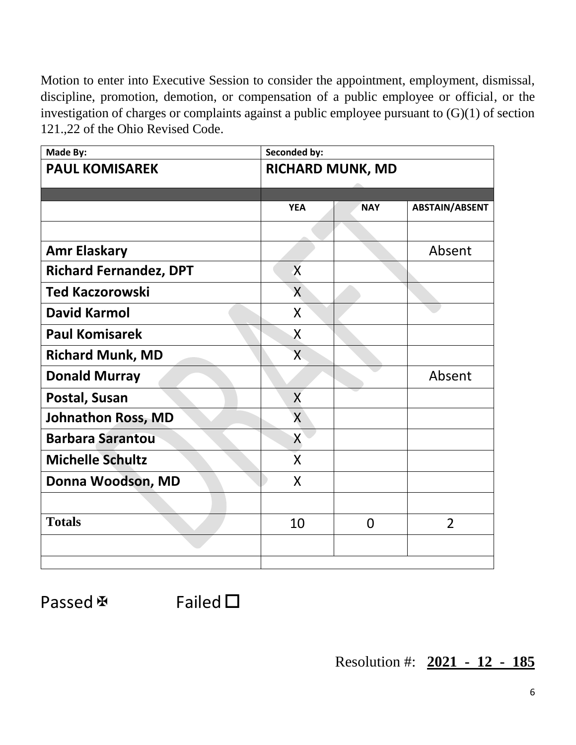Motion to enter into Executive Session to consider the appointment, employment, dismissal, discipline, promotion, demotion, or compensation of a public employee or official, or the investigation of charges or complaints against a public employee pursuant to (G)(1) of section 121.,22 of the Ohio Revised Code.

| Made By:                      | <b>Seconded by:</b>     |                         |                       |  |  |
|-------------------------------|-------------------------|-------------------------|-----------------------|--|--|
| <b>PAUL KOMISAREK</b>         |                         | <b>RICHARD MUNK, MD</b> |                       |  |  |
|                               |                         |                         |                       |  |  |
|                               | <b>YEA</b>              | <b>NAY</b>              | <b>ABSTAIN/ABSENT</b> |  |  |
|                               |                         |                         |                       |  |  |
| <b>Amr Elaskary</b>           |                         |                         | Absent                |  |  |
| <b>Richard Fernandez, DPT</b> | $\overline{\mathsf{X}}$ |                         |                       |  |  |
| <b>Ted Kaczorowski</b>        | X                       |                         |                       |  |  |
| <b>David Karmol</b>           | X                       |                         |                       |  |  |
| <b>Paul Komisarek</b>         | X                       |                         |                       |  |  |
| <b>Richard Munk, MD</b>       | $\overline{X}$          |                         |                       |  |  |
| <b>Donald Murray</b>          |                         |                         | Absent                |  |  |
| Postal, Susan                 | X                       |                         |                       |  |  |
| Johnathon Ross, MD            | $\mathsf{X}$            |                         |                       |  |  |
| <b>Barbara Sarantou</b>       | X                       |                         |                       |  |  |
| <b>Michelle Schultz</b>       | X                       |                         |                       |  |  |
| Donna Woodson, MD             | X                       |                         |                       |  |  |
|                               |                         |                         |                       |  |  |
| <b>Totals</b>                 | 10                      | $\overline{0}$          | $\overline{2}$        |  |  |
|                               |                         |                         |                       |  |  |
|                               |                         |                         |                       |  |  |

Passed  $\mathbb F$  Failed  $\square$ 

Resolution #: **2021 - 12 - 185**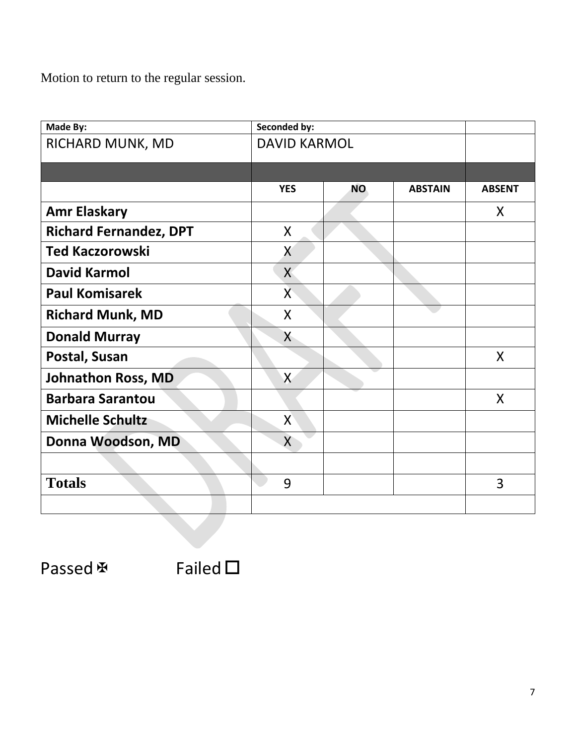Motion to return to the regular session.

| Made By:                      | Seconded by:        |           |                |               |
|-------------------------------|---------------------|-----------|----------------|---------------|
| RICHARD MUNK, MD              | <b>DAVID KARMOL</b> |           |                |               |
|                               |                     |           |                |               |
|                               | <b>YES</b>          | <b>NO</b> | <b>ABSTAIN</b> | <b>ABSENT</b> |
| <b>Amr Elaskary</b>           |                     |           |                | X             |
| <b>Richard Fernandez, DPT</b> | $\mathsf{X}$        |           |                |               |
| <b>Ted Kaczorowski</b>        | X                   |           |                |               |
| <b>David Karmol</b>           | X                   |           |                |               |
| <b>Paul Komisarek</b>         | X                   |           |                |               |
| <b>Richard Munk, MD</b>       | $\mathsf{X}$        |           |                |               |
| <b>Donald Murray</b>          | X                   |           |                |               |
| Postal, Susan                 |                     |           |                | $\mathsf{X}$  |
| <b>Johnathon Ross, MD</b>     | $\mathsf{X}$        |           |                |               |
| <b>Barbara Sarantou</b>       |                     |           |                | $\mathsf{X}$  |
| <b>Michelle Schultz</b>       | X                   |           |                |               |
| Donna Woodson, MD             | $\mathsf{X}$        |           |                |               |
|                               |                     |           |                |               |
| <b>Totals</b>                 | 9                   |           |                | 3             |
|                               |                     |           |                |               |

Passed  $\mathbb F$  Failed  $\square$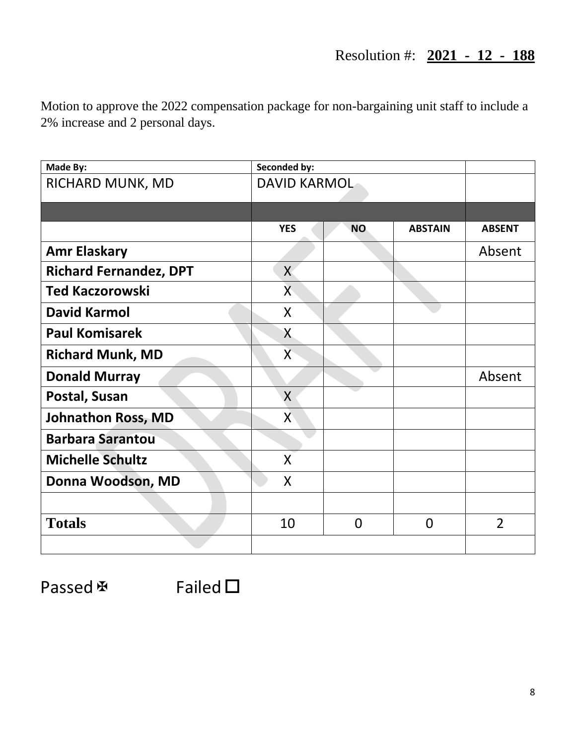# Resolution #: **2021 - 12 - 188**

Motion to approve the 2022 compensation package for non-bargaining unit staff to include a 2% increase and 2 personal days.

| Made By:                      | Seconded by:   |                     |                |                |
|-------------------------------|----------------|---------------------|----------------|----------------|
| RICHARD MUNK, MD              |                | <b>DAVID KARMOL</b> |                |                |
|                               |                |                     |                |                |
|                               | <b>YES</b>     | NO <sub>1</sub>     | <b>ABSTAIN</b> | <b>ABSENT</b>  |
| <b>Amr Elaskary</b>           |                |                     |                | Absent         |
| <b>Richard Fernandez, DPT</b> | X              |                     |                |                |
| <b>Ted Kaczorowski</b>        | $\overline{X}$ |                     |                |                |
| <b>David Karmol</b>           | $\mathsf{X}$   |                     |                |                |
| <b>Paul Komisarek</b>         | X              |                     |                |                |
| <b>Richard Munk, MD</b>       | $\overline{X}$ |                     |                |                |
| <b>Donald Murray</b>          |                |                     |                | Absent         |
| Postal, Susan                 | $\sf X$        |                     |                |                |
| <b>Johnathon Ross, MD</b>     | X              |                     |                |                |
| <b>Barbara Sarantou</b>       |                |                     |                |                |
| <b>Michelle Schultz</b>       | X              |                     |                |                |
| Donna Woodson, MD             | X              |                     |                |                |
|                               |                |                     |                |                |
| <b>Totals</b>                 | 10             | $\overline{0}$      | $\overline{0}$ | $\overline{2}$ |
|                               |                |                     |                |                |

Passed  $\mathbb F$  Failed  $\square$